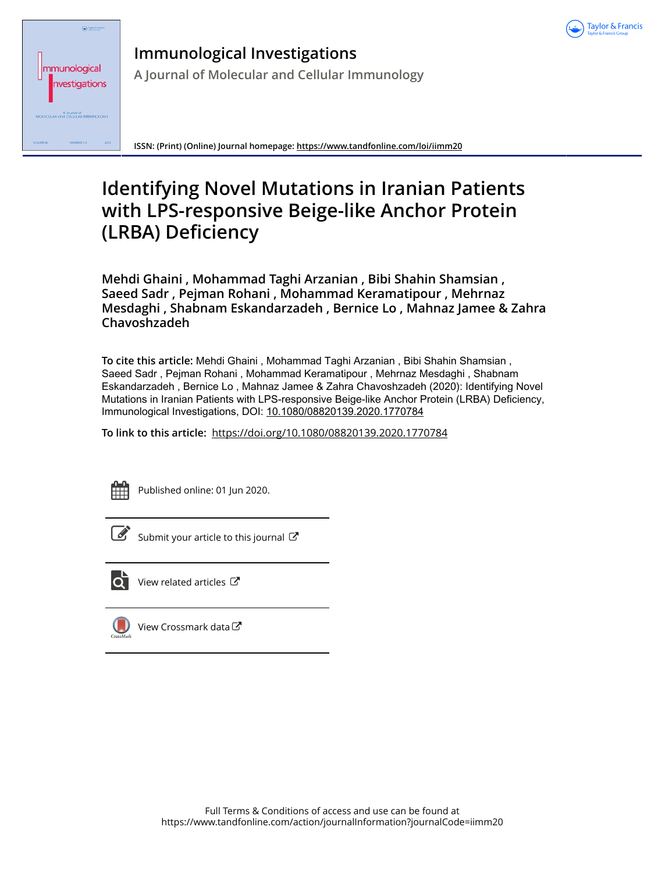

| Taylor & Francis<br>mmunological<br>nvestigations                                  |  |
|------------------------------------------------------------------------------------|--|
| A doumot at<br>MOLECULAR and CELLULAR IMMUNOU<br>UPERAF AL<br>2015<br>NUMBERS L.B. |  |

**Immunological Investigations A Journal of Molecular and Cellular Immunology**

**ISSN: (Print) (Online) Journal homepage:<https://www.tandfonline.com/loi/iimm20>**

# **Identifying Novel Mutations in Iranian Patients with LPS-responsive Beige-like Anchor Protein (LRBA) Deficiency**

**Mehdi Ghaini , Mohammad Taghi Arzanian , Bibi Shahin Shamsian , Saeed Sadr , Pejman Rohani , Mohammad Keramatipour , Mehrnaz Mesdaghi , Shabnam Eskandarzadeh , Bernice Lo , Mahnaz Jamee & Zahra Chavoshzadeh**

**To cite this article:** Mehdi Ghaini , Mohammad Taghi Arzanian , Bibi Shahin Shamsian , Saeed Sadr , Pejman Rohani , Mohammad Keramatipour , Mehrnaz Mesdaghi , Shabnam Eskandarzadeh , Bernice Lo , Mahnaz Jamee & Zahra Chavoshzadeh (2020): Identifying Novel Mutations in Iranian Patients with LPS-responsive Beige-like Anchor Protein (LRBA) Deficiency, Immunological Investigations, DOI: [10.1080/08820139.2020.1770784](https://www.tandfonline.com/action/showCitFormats?doi=10.1080/08820139.2020.1770784)

**To link to this article:** <https://doi.org/10.1080/08820139.2020.1770784>



Published online: 01 Jun 2020.



 $\overline{\mathscr{L}}$  [Submit your article to this journal](https://www.tandfonline.com/action/authorSubmission?journalCode=iimm20&show=instructions)  $\mathbb{Z}$ 



 $\overline{\mathbf{C}}$  [View related articles](https://www.tandfonline.com/doi/mlt/10.1080/08820139.2020.1770784)  $\mathbf{C}$ 

[View Crossmark data](http://crossmark.crossref.org/dialog/?doi=10.1080/08820139.2020.1770784&domain=pdf&date_stamp=2020-06-01)  $\sigma$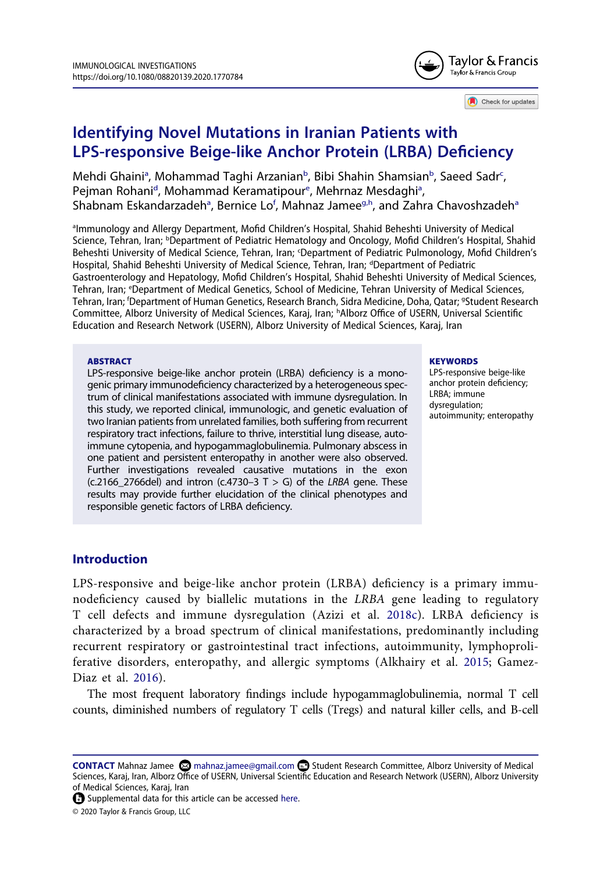

Check for updates

# **Identifying Novel Mutations in Iranian Patients with LPS-responsive Beige-like Anchor Protein (LRBA) Deficiency**

Mehdi Ghaini<sup>a</sup>, Mohammad Taghi Arzan[ia](#page-1-0)n<sup>b</sup>, Bibi Shahin Shamsian<sup>b</sup>, Saeed Sadr<sup>c</sup>, Pejman Rohani<sup>[d](#page-1-3)</sup>, Moh[a](#page-1-0)mmad Keramatipour<sup>e</sup>, Mehrnaz Mesdaghi<sup>a</sup>, Sh[a](#page-1-0)bnam Eskandarzadeh<sup>a</sup>, Bernice Lo<sup>f</sup>, Mahnaz Jamee<sup>g[,h](#page-1-6)</sup>, and Zahra Chavoshzadeh<sup>a</sup>

<span id="page-1-4"></span><span id="page-1-3"></span><span id="page-1-2"></span><span id="page-1-1"></span><span id="page-1-0"></span>almmunology and Allergy Department, Mofid Children's Hospital, Shahid Beheshti University of Medical Science, Tehran, Iran; <sup>b</sup>Department of Pediatric Hematology and Oncology, Mofid Children's Hospital, Shahid Beheshti University of Medical Science, Tehran, Iran; <sup>c</sup>Department of Pediatric Pulmonology, Mofid Children's Hospital, Shahid Beheshti University of Medical Science, Tehran, Iran; <sup>d</sup>Department of Pediatric Gastroenterology and Hepatology, Mofid Children's Hospital, Shahid Beheshti University of Medical Sciences, Tehran, Iran; e Department of Medical Genetics, School of Medicine, Tehran University of Medical Sciences, Tehran, Iran; <sup>f</sup>Department of Human Genetics, Research Branch, Sidra Medicine, Doha, Qatar; <sup>g</sup>Student Research Committee, Alborz University of Medical Sciences, Karaj, Iran; h Alborz Office of USERN, Universal Scientific Education and Research Network (USERN), Alborz University of Medical Sciences, Karaj, Iran

#### <span id="page-1-6"></span><span id="page-1-5"></span>**ABSTRACT**

LPS-responsive beige-like anchor protein (LRBA) deficiency is a monogenic primary immunodeficiency characterized by a heterogeneous spectrum of clinical manifestations associated with immune dysregulation. In this study, we reported clinical, immunologic, and genetic evaluation of two Iranian patients from unrelated families, both suffering from recurrent respiratory tract infections, failure to thrive, interstitial lung disease, autoimmune cytopenia, and hypogammaglobulinemia. Pulmonary abscess in one patient and persistent enteropathy in another were also observed. Further investigations revealed causative mutations in the exon (c.2166\_2766del) and intron (c.4730–3 T > G) of the *LRBA* gene. These results may provide further elucidation of the clinical phenotypes and responsible genetic factors of LRBA deficiency.

#### **KEYWORDS**

LPS-responsive beige-like anchor protein deficiency; LRBA; immune dysregulation: autoimmunity; enteropathy

#### **Introduction**

<span id="page-1-8"></span>LPS-responsive and beige-like anchor protein (LRBA) deficiency is a primary immunodeficiency caused by biallelic mutations in the *LRBA* gene leading to regulatory T cell defects and immune dysregulation (Azizi et al. [2018c](#page-6-0)). LRBA deficiency is characterized by a broad spectrum of clinical manifestations, predominantly including recurrent respiratory or gastrointestinal tract infections, autoimmunity, lymphoproliferative disorders, enteropathy, and allergic symptoms (Alkhairy et al. [2015](#page-6-1); Gamez-Diaz et al. [2016\)](#page-7-0).

<span id="page-1-9"></span><span id="page-1-7"></span>The most frequent laboratory findings include hypogammaglobulinemia, normal T cell counts, diminished numbers of regulatory T cells (Tregs) and natural killer cells, and B-cell

CONTACT Mahnaz Jamee **in a mahnaz.jamee@gmail.com ■** Student Research Committee, Alborz University of Medical Sciences, Karaj, Iran, Alborz Office of USERN, Universal Scientific Education and Research Network (USERN), Alborz University of Medical Sciences, Karaj, Iran

 $\bigoplus$  Supplemental data for this article can be accessed [here.](https://doi.org/10.1080/08820139.2020.1770784)

© 2020 Taylor & Francis Group, LLC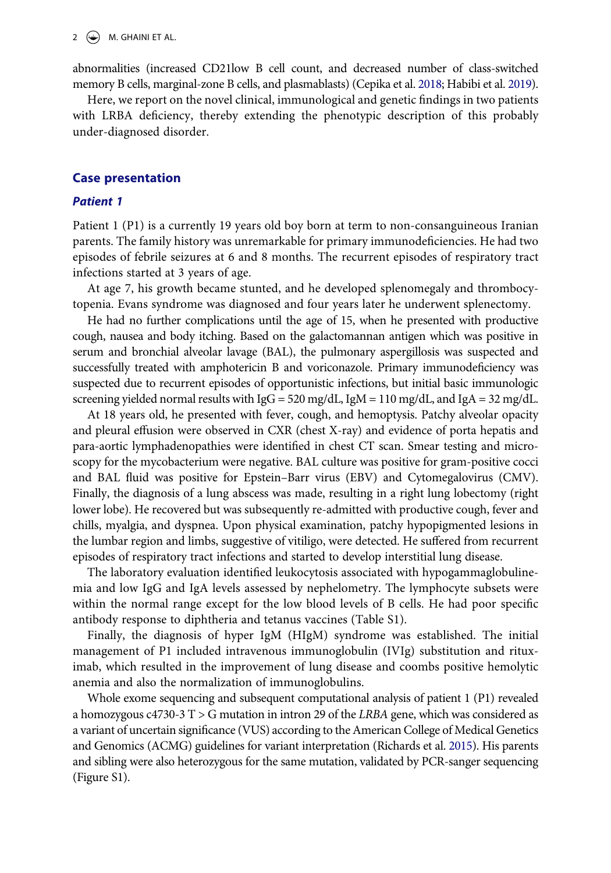<span id="page-2-0"></span>abnormalities (increased CD21low B cell count, and decreased number of class-switched memory B cells, marginal-zone B cells, and plasmablasts) (Cepika et al. [2018](#page-6-2); Habibi et al. [2019](#page-7-1)).

Here, we report on the novel clinical, immunological and genetic findings in two patients with LRBA deficiency, thereby extending the phenotypic description of this probably under-diagnosed disorder.

#### **Case presentation**

#### *Patient 1*

Patient 1 (P1) is a currently 19 years old boy born at term to non-consanguineous Iranian parents. The family history was unremarkable for primary immunodeficiencies. He had two episodes of febrile seizures at 6 and 8 months. The recurrent episodes of respiratory tract infections started at 3 years of age.

At age 7, his growth became stunted, and he developed splenomegaly and thrombocytopenia. Evans syndrome was diagnosed and four years later he underwent splenectomy.

He had no further complications until the age of 15, when he presented with productive cough, nausea and body itching. Based on the galactomannan antigen which was positive in serum and bronchial alveolar lavage (BAL), the pulmonary aspergillosis was suspected and successfully treated with amphotericin B and voriconazole. Primary immunodeficiency was suspected due to recurrent episodes of opportunistic infections, but initial basic immunologic screening yielded normal results with IgG = 520 mg/dL, IgM = 110 mg/dL, and IgA = 32 mg/dL.

At 18 years old, he presented with fever, cough, and hemoptysis. Patchy alveolar opacity and pleural effusion were observed in CXR (chest X-ray) and evidence of porta hepatis and para-aortic lymphadenopathies were identified in chest CT scan. Smear testing and microscopy for the mycobacterium were negative. BAL culture was positive for gram-positive cocci and BAL fluid was positive for Epstein–Barr virus (EBV) and Cytomegalovirus (CMV). Finally, the diagnosis of a lung abscess was made, resulting in a right lung lobectomy (right lower lobe). He recovered but was subsequently re-admitted with productive cough, fever and chills, myalgia, and dyspnea. Upon physical examination, patchy hypopigmented lesions in the lumbar region and limbs, suggestive of vitiligo, were detected. He suffered from recurrent episodes of respiratory tract infections and started to develop interstitial lung disease.

The laboratory evaluation identified leukocytosis associated with hypogammaglobulinemia and low IgG and IgA levels assessed by nephelometry. The lymphocyte subsets were within the normal range except for the low blood levels of B cells. He had poor specific antibody response to diphtheria and tetanus vaccines (Table S1).

Finally, the diagnosis of hyper IgM (HIgM) syndrome was established. The initial management of P1 included intravenous immunoglobulin (IVIg) substitution and rituximab, which resulted in the improvement of lung disease and coombs positive hemolytic anemia and also the normalization of immunoglobulins.

<span id="page-2-1"></span>Whole exome sequencing and subsequent computational analysis of patient 1 (P1) revealed a homozygous c4730-3 T > G mutation in intron 29 of the *LRBA* gene, which was considered as a variant of uncertain significance (VUS) according to the American College of Medical Genetics and Genomics (ACMG) guidelines for variant interpretation (Richards et al. [2015\)](#page-7-2). His parents and sibling were also heterozygous for the same mutation, validated by PCR-sanger sequencing (Figure S1).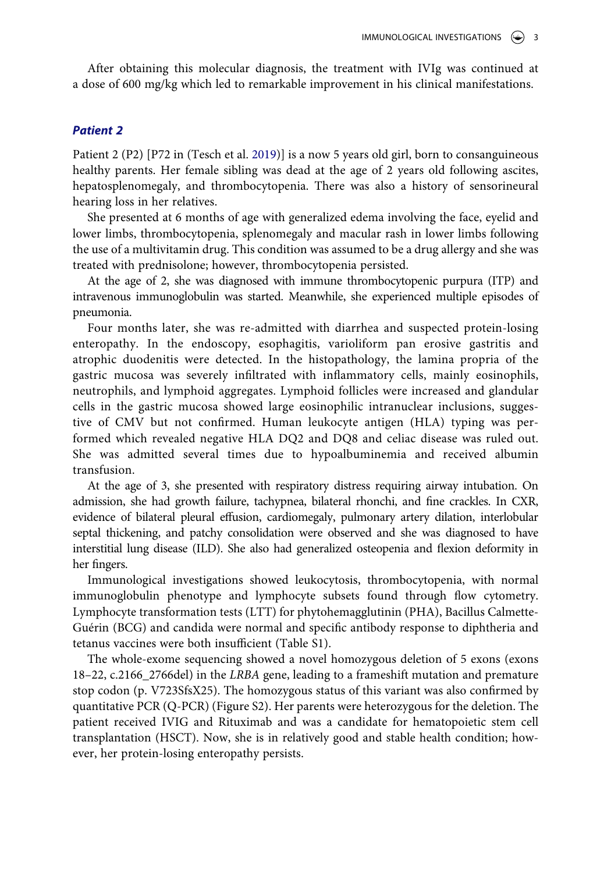After obtaining this molecular diagnosis, the treatment with IVIg was continued at a dose of 600 mg/kg which led to remarkable improvement in his clinical manifestations.

#### *Patient 2*

<span id="page-3-0"></span>Patient 2 (P2) [P72 in (Tesch et al. [2019\)](#page-7-3)] is a now 5 years old girl, born to consanguineous healthy parents. Her female sibling was dead at the age of 2 years old following ascites, hepatosplenomegaly, and thrombocytopenia. There was also a history of sensorineural hearing loss in her relatives.

She presented at 6 months of age with generalized edema involving the face, eyelid and lower limbs, thrombocytopenia, splenomegaly and macular rash in lower limbs following the use of a multivitamin drug. This condition was assumed to be a drug allergy and she was treated with prednisolone; however, thrombocytopenia persisted.

At the age of 2, she was diagnosed with immune thrombocytopenic purpura (ITP) and intravenous immunoglobulin was started. Meanwhile, she experienced multiple episodes of pneumonia.

Four months later, she was re-admitted with diarrhea and suspected protein-losing enteropathy. In the endoscopy, esophagitis, varioliform pan erosive gastritis and atrophic duodenitis were detected. In the histopathology, the lamina propria of the gastric mucosa was severely infiltrated with inflammatory cells, mainly eosinophils, neutrophils, and lymphoid aggregates. Lymphoid follicles were increased and glandular cells in the gastric mucosa showed large eosinophilic intranuclear inclusions, suggestive of CMV but not confirmed. Human leukocyte antigen (HLA) typing was performed which revealed negative HLA DQ2 and DQ8 and celiac disease was ruled out. She was admitted several times due to hypoalbuminemia and received albumin transfusion.

At the age of 3, she presented with respiratory distress requiring airway intubation. On admission, she had growth failure, tachypnea, bilateral rhonchi, and fine crackles. In CXR, evidence of bilateral pleural effusion, cardiomegaly, pulmonary artery dilation, interlobular septal thickening, and patchy consolidation were observed and she was diagnosed to have interstitial lung disease (ILD). She also had generalized osteopenia and flexion deformity in her fingers.

Immunological investigations showed leukocytosis, thrombocytopenia, with normal immunoglobulin phenotype and lymphocyte subsets found through flow cytometry. Lymphocyte transformation tests (LTT) for phytohemagglutinin (PHA), Bacillus Calmette-Guérin (BCG) and candida were normal and specific antibody response to diphtheria and tetanus vaccines were both insufficient (Table S1).

The whole-exome sequencing showed a novel homozygous deletion of 5 exons (exons 18–22, c.2166\_2766del) in the *LRBA* gene, leading to a frameshift mutation and premature stop codon (p. V723SfsX25). The homozygous status of this variant was also confirmed by quantitative PCR (Q-PCR) (Figure S2). Her parents were heterozygous for the deletion. The patient received IVIG and Rituximab and was a candidate for hematopoietic stem cell transplantation (HSCT). Now, she is in relatively good and stable health condition; however, her protein-losing enteropathy persists.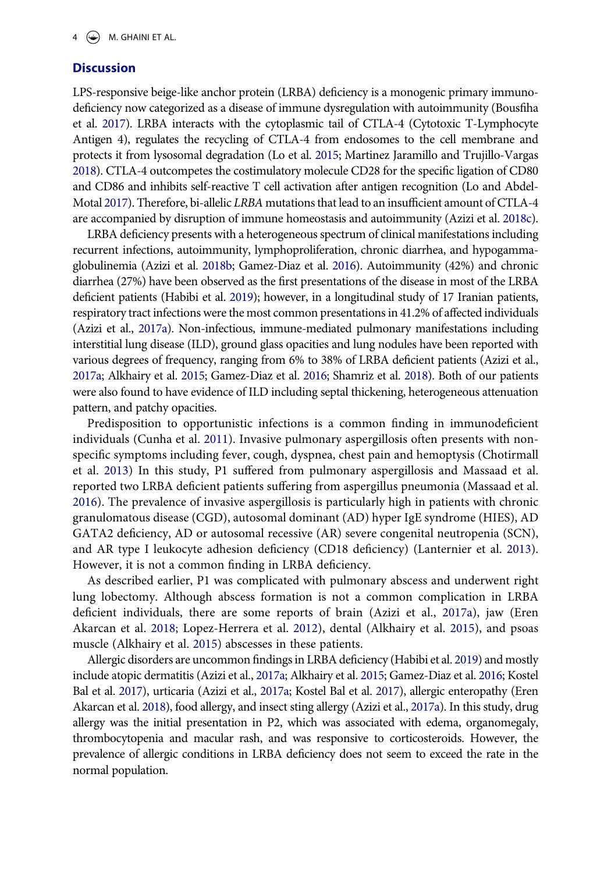## **Discussion**

<span id="page-4-8"></span><span id="page-4-2"></span>LPS-responsive beige-like anchor protein (LRBA) deficiency is a monogenic primary immunodeficiency now categorized as a disease of immune dysregulation with autoimmunity (Bousfiha et al. [2017\)](#page-6-3). LRBA interacts with the cytoplasmic tail of CTLA-4 (Cytotoxic T-Lymphocyte Antigen 4), regulates the recycling of CTLA-4 from endosomes to the cell membrane and protects it from lysosomal degradation (Lo et al. [2015](#page-7-4); Martinez Jaramillo and Trujillo-Vargas [2018](#page-7-5)). CTLA-4 outcompetes the costimulatory molecule CD28 for the specific ligation of CD80 and CD86 and inhibits self-reactive T cell activation after antigen recognition (Lo and Abdel-Motal [2017](#page-7-6)). Therefore, bi-allelic *LRBA* mutations that lead to an insufficient amount of CTLA-4 are accompanied by disruption of immune homeostasis and autoimmunity (Azizi et al. [2018c](#page-6-0)).

<span id="page-4-7"></span><span id="page-4-1"></span>LRBA deficiency presents with a heterogeneous spectrum of clinical manifestations including recurrent infections, autoimmunity, lymphoproliferation, chronic diarrhea, and hypogammaglobulinemia (Azizi et al. [2018b](#page-6-4); Gamez-Diaz et al. [2016](#page-7-0)). Autoimmunity (42%) and chronic diarrhea (27%) have been observed as the first presentations of the disease in most of the LRBA deficient patients (Habibi et al. [2019\)](#page-7-1); however, in a longitudinal study of 17 Iranian patients, respiratory tract infections were the most common presentations in 41.2% of affected individuals (Azizi et al., [2017a\)](#page-6-5). Non-infectious, immune-mediated pulmonary manifestations including interstitial lung disease (ILD), ground glass opacities and lung nodules have been reported with various degrees of frequency, ranging from 6% to 38% of LRBA deficient patients (Azizi et al., [2017a;](#page-6-5) Alkhairy et al. [2015;](#page-6-1) Gamez-Diaz et al. [2016](#page-7-0); Shamriz et al. [2018\)](#page-7-7). Both of our patients were also found to have evidence of ILD including septal thickening, heterogeneous attenuation pattern, and patchy opacities.

<span id="page-4-11"></span><span id="page-4-10"></span><span id="page-4-4"></span><span id="page-4-3"></span>Predisposition to opportunistic infections is a common finding in immunodeficient individuals (Cunha et al. [2011](#page-6-6)). Invasive pulmonary aspergillosis often presents with nonspecific symptoms including fever, cough, dyspnea, chest pain and hemoptysis (Chotirmall et al. [2013\)](#page-6-7) In this study, P1 suffered from pulmonary aspergillosis and Massaad et al. reported two LRBA deficient patients suffering from aspergillus pneumonia (Massaad et al. [2016](#page-7-8)). The prevalence of invasive aspergillosis is particularly high in patients with chronic granulomatous disease (CGD), autosomal dominant (AD) hyper IgE syndrome (HIES), AD GATA2 deficiency, AD or autosomal recessive (AR) severe congenital neutropenia (SCN), and AR type I leukocyte adhesion deficiency (CD18 deficiency) (Lanternier et al. [2013](#page-7-9)). However, it is not a common finding in LRBA deficiency.

<span id="page-4-6"></span>As described earlier, P1 was complicated with pulmonary abscess and underwent right lung lobectomy. Although abscess formation is not a common complication in LRBA deficient individuals, there are some reports of brain (Azizi et al., [2017a\)](#page-6-5), jaw (Eren Akarcan et al. [2018;](#page-6-8) Lopez-Herrera et al. [2012](#page-7-10)), dental (Alkhairy et al. [2015](#page-6-1)), and psoas muscle (Alkhairy et al. [2015](#page-6-1)) abscesses in these patients.

<span id="page-4-9"></span><span id="page-4-5"></span><span id="page-4-0"></span>Allergic disorders are uncommon findings in LRBA deficiency (Habibi et al. [2019](#page-7-1)) and mostly include atopic dermatitis (Azizi et al., [2017a;](#page-6-5) Alkhairy et al. [2015;](#page-6-1) Gamez-Diaz et al. [2016](#page-7-0); Kostel Bal et al. [2017](#page-7-11)), urticaria (Azizi et al., [2017a](#page-6-5); Kostel Bal et al. [2017](#page-7-11)), allergic enteropathy (Eren Akarcan et al. [2018\)](#page-6-8), food allergy, and insect sting allergy (Azizi et al., [2017a\)](#page-6-5). In this study, drug allergy was the initial presentation in P2, which was associated with edema, organomegaly, thrombocytopenia and macular rash, and was responsive to corticosteroids. However, the prevalence of allergic conditions in LRBA deficiency does not seem to exceed the rate in the normal population.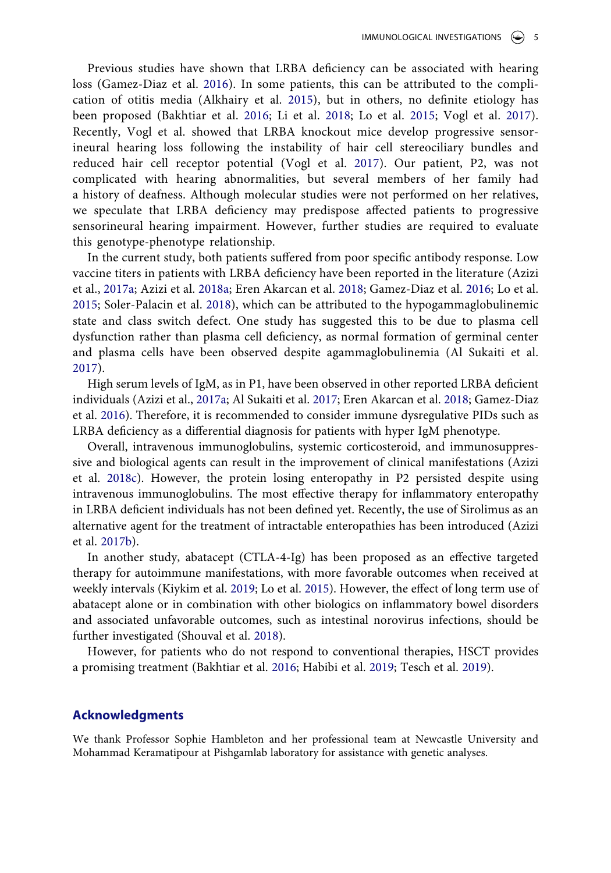<span id="page-5-8"></span><span id="page-5-5"></span>Previous studies have shown that LRBA deficiency can be associated with hearing loss (Gamez-Diaz et al. [2016](#page-7-0)). In some patients, this can be attributed to the complication of otitis media (Alkhairy et al. [2015](#page-6-1)), but in others, no definite etiology has been proposed (Bakhtiar et al. [2016;](#page-6-9) Li et al. [2018](#page-7-12); Lo et al. [2015;](#page-7-4) Vogl et al. [2017](#page-7-13)). Recently, Vogl et al. showed that LRBA knockout mice develop progressive sensorineural hearing loss following the instability of hair cell stereociliary bundles and reduced hair cell receptor potential (Vogl et al. [2017\)](#page-7-13). Our patient, P2, was not complicated with hearing abnormalities, but several members of her family had a history of deafness. Although molecular studies were not performed on her relatives, we speculate that LRBA deficiency may predispose affected patients to progressive sensorineural hearing impairment. However, further studies are required to evaluate this genotype-phenotype relationship.

<span id="page-5-7"></span><span id="page-5-1"></span>In the current study, both patients suffered from poor specific antibody response. Low vaccine titers in patients with LRBA deficiency have been reported in the literature (Azizi et al., [2017a;](#page-6-5) Azizi et al. [2018a;](#page-6-10) Eren Akarcan et al. [2018;](#page-6-8) Gamez-Diaz et al. [2016;](#page-7-0) Lo et al. [2015;](#page-7-4) Soler-Palacin et al. [2018\)](#page-7-14), which can be attributed to the hypogammaglobulinemic state and class switch defect. One study has suggested this to be due to plasma cell dysfunction rather than plasma cell deficiency, as normal formation of germinal center and plasma cells have been observed despite agammaglobulinemia (Al Sukaiti et al. [2017\)](#page-6-11).

<span id="page-5-0"></span>High serum levels of IgM, as in P1, have been observed in other reported LRBA deficient individuals (Azizi et al., [2017a;](#page-6-5) Al Sukaiti et al. [2017](#page-6-11); Eren Akarcan et al. [2018](#page-6-8); Gamez-Diaz et al. [2016](#page-7-0)). Therefore, it is recommended to consider immune dysregulative PIDs such as LRBA deficiency as a differential diagnosis for patients with hyper IgM phenotype.

Overall, intravenous immunoglobulins, systemic corticosteroid, and immunosuppressive and biological agents can result in the improvement of clinical manifestations (Azizi et al. [2018c\)](#page-6-0). However, the protein losing enteropathy in P2 persisted despite using intravenous immunoglobulins. The most effective therapy for inflammatory enteropathy in LRBA deficient individuals has not been defined yet. Recently, the use of Sirolimus as an alternative agent for the treatment of intractable enteropathies has been introduced (Azizi et al. [2017b\)](#page-6-12).

<span id="page-5-4"></span><span id="page-5-2"></span>In another study, abatacept (CTLA-4-Ig) has been proposed as an effective targeted therapy for autoimmune manifestations, with more favorable outcomes when received at weekly intervals (Kiykim et al. [2019](#page-7-15); Lo et al. [2015](#page-7-4)). However, the effect of long term use of abatacept alone or in combination with other biologics on inflammatory bowel disorders and associated unfavorable outcomes, such as intestinal norovirus infections, should be further investigated (Shouval et al. [2018\)](#page-7-16).

<span id="page-5-6"></span><span id="page-5-3"></span>However, for patients who do not respond to conventional therapies, HSCT provides a promising treatment (Bakhtiar et al. [2016](#page-6-9); Habibi et al. [2019;](#page-7-1) Tesch et al. [2019](#page-7-3)).

#### **Acknowledgments**

We thank Professor Sophie Hambleton and her professional team at Newcastle University and Mohammad Keramatipour at Pishgamlab laboratory for assistance with genetic analyses.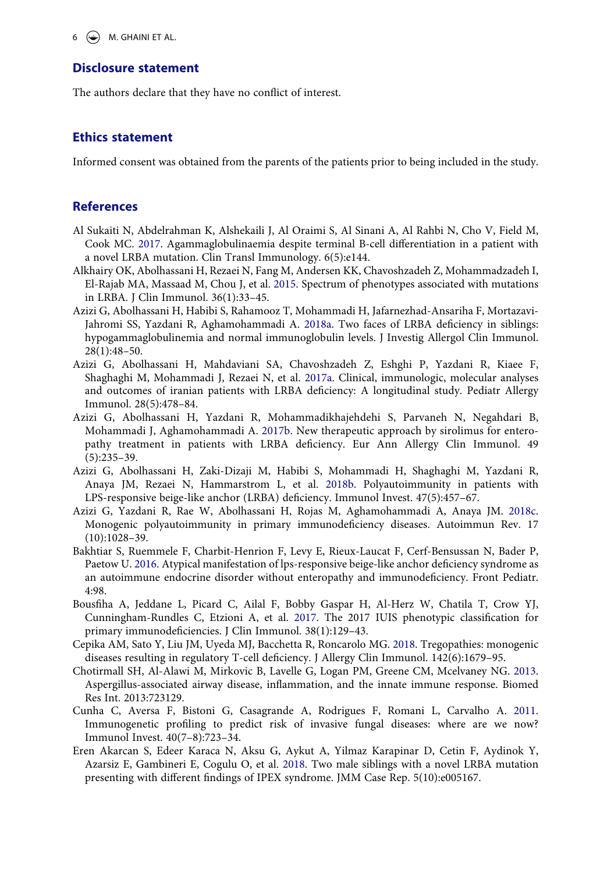#### **Disclosure statement**

The authors declare that they have no conflict of interest.

#### **Ethics statement**

Informed consent was obtained from the parents of the patients prior to being included in the study.

## **References**

- <span id="page-6-11"></span>Al Sukaiti N, Abdelrahman K, Alshekaili J, Al Oraimi S, Al Sinani A, Al Rahbi N, Cho V, Field M, Cook MC. [2017](#page-5-0). Agammaglobulinaemia despite terminal B-cell differentiation in a patient with a novel LRBA mutation. Clin Transl Immunology. 6(5):e144.
- <span id="page-6-1"></span>Alkhairy OK, Abolhassani H, Rezaei N, Fang M, Andersen KK, Chavoshzadeh Z, Mohammadzadeh I, El-Rajab MA, Massaad M, Chou J, et al. [2015](#page-1-7). Spectrum of phenotypes associated with mutations in LRBA. J Clin Immunol. 36(1):33–45.
- <span id="page-6-10"></span>Azizi G, Abolhassani H, Habibi S, Rahamooz T, Mohammadi H, Jafarnezhad-Ansariha F, Mortazavi-Jahromi SS, Yazdani R, Aghamohammadi A. [2018a](#page-5-1). Two faces of LRBA deficiency in siblings: hypogammaglobulinemia and normal immunoglobulin levels. J Investig Allergol Clin Immunol. 28(1):48–50.
- <span id="page-6-5"></span>Azizi G, Abolhassani H, Mahdaviani SA, Chavoshzadeh Z, Eshghi P, Yazdani R, Kiaee F, Shaghaghi M, Mohammadi J, Rezaei N, et al. [2017a.](#page-4-0) Clinical, immunologic, molecular analyses and outcomes of iranian patients with LRBA deficiency: A longitudinal study. Pediatr Allergy Immunol. 28(5):478–84.
- <span id="page-6-12"></span>Azizi G, Abolhassani H, Yazdani R, Mohammadikhajehdehi S, Parvaneh N, Negahdari B, Mohammadi J, Aghamohammadi A. [2017b](#page-5-2). New therapeutic approach by sirolimus for enteropathy treatment in patients with LRBA deficiency. Eur Ann Allergy Clin Immunol. 49 (5):235–39.
- <span id="page-6-4"></span>Azizi G, Abolhassani H, Zaki-Dizaji M, Habibi S, Mohammadi H, Shaghaghi M, Yazdani R, Anaya JM, Rezaei N, Hammarstrom L, et al. [2018b.](#page-4-1) Polyautoimmunity in patients with LPS-responsive beige-like anchor (LRBA) deficiency. Immunol Invest. 47(5):457–67.
- <span id="page-6-0"></span>Azizi G, Yazdani R, Rae W, Abolhassani H, Rojas M, Aghamohammadi A, Anaya JM. [2018c](#page-1-8). Monogenic polyautoimmunity in primary immunodeficiency diseases. Autoimmun Rev. 17 (10):1028–39.
- <span id="page-6-9"></span>Bakhtiar S, Ruemmele F, Charbit-Henrion F, Levy E, Rieux-Laucat F, Cerf-Bensussan N, Bader P, Paetow U. [2016](#page-5-3). Atypical manifestation of lps-responsive beige-like anchor deficiency syndrome as an autoimmune endocrine disorder without enteropathy and immunodeficiency. Front Pediatr. 4:98.
- <span id="page-6-3"></span>Bousfiha A, Jeddane L, Picard C, Ailal F, Bobby Gaspar H, Al-Herz W, Chatila T, Crow YJ, Cunningham-Rundles C, Etzioni A, et al. [2017.](#page-4-2) The 2017 IUIS phenotypic classification for primary immunodeficiencies. J Clin Immunol. 38(1):129–43.
- <span id="page-6-2"></span>Cepika AM, Sato Y, Liu JM, Uyeda MJ, Bacchetta R, Roncarolo MG. [2018](#page-2-0). Tregopathies: monogenic diseases resulting in regulatory T-cell deficiency. J Allergy Clin Immunol. 142(6):1679–95.
- <span id="page-6-7"></span>Chotirmall SH, Al-Alawi M, Mirkovic B, Lavelle G, Logan PM, Greene CM, Mcelvaney NG. [2013](#page-4-3). Aspergillus-associated airway disease, inflammation, and the innate immune response. Biomed Res Int. 2013:723129.
- <span id="page-6-6"></span>Cunha C, Aversa F, Bistoni G, Casagrande A, Rodrigues F, Romani L, Carvalho A. [2011](#page-4-4). Immunogenetic profiling to predict risk of invasive fungal diseases: where are we now? Immunol Invest. 40(7–8):723–34.
- <span id="page-6-8"></span>Eren Akarcan S, Edeer Karaca N, Aksu G, Aykut A, Yilmaz Karapinar D, Cetin F, Aydinok Y, Azarsiz E, Gambineri E, Cogulu O, et al. [2018](#page-4-0). Two male siblings with a novel LRBA mutation presenting with different findings of IPEX syndrome. JMM Case Rep. 5(10):e005167.